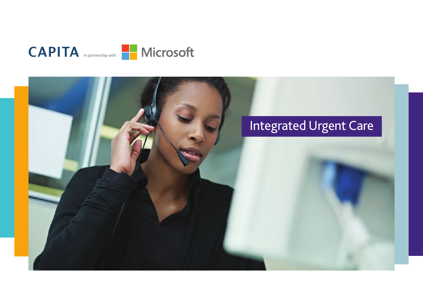

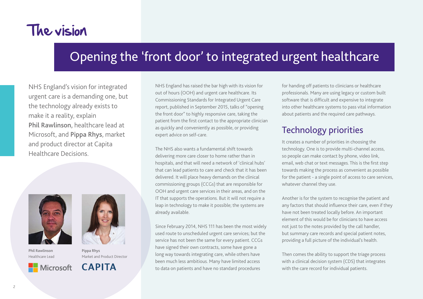## 'The vision

## Opening the 'front door' to integrated urgent healthcare

NHS England's vision for integrated urgent care is a demanding one, but the technology already exists to make it a reality, explain Phil Rawlinson, healthcare lead at Microsoft, and Pippa Rhys, market and product director at Capita Healthcare Decisions.



Phil Rawlinson Healthcare Lead



Pippa Rhys Market and Product Director

**CAPITA** 

NHS England has raised the bar high with its vision for out of hours (OOH) and urgent care healthcare. Its Commissioning Standards for Integrated Urgent Care report, published in September 2015, talks of "opening the front door" to highly responsive care, taking the patient from the first contact to the appropriate clinician as quickly and conveniently as possible, or providing expert advice on self-care.

The NHS also wants a fundamental shift towards delivering more care closer to home rather than in hospitals, and that will need a network of 'clinical hubs' that can lead patients to care and check that it has been delivered. It will place heavy demands on the clinical commissioning groups (CCGs) that are responsible for OOH and urgent care services in their areas, and on the IT that supports the operations. But it will not require a leap in technology to make it possible; the systems are already available.

Since February 2014, NHS 111 has been the most widely used route to unscheduled urgent care services; but the service has not been the same for every patient. CCGs have signed their own contracts, some have gone a long way towards integrating care, while others have been much less ambitious. Many have limited access to data on patients and have no standard procedures

for handing off patients to clinicians or healthcare professionals. Many are using legacy or custom built software that is difficult and expensive to integrate into other healthcare systems to pass vital information about patients and the required care pathways.

## Technology priorities

It creates a number of priorities in choosing the technology. One is to provide multi-channel access, so people can make contact by phone, video link, email, web chat or text messages. This is the first step towards making the process as convenient as possible for the patient - a single point of access to care services, whatever channel they use.

Another is for the system to recognise the patient and any factors that should influence their care, even if they have not been treated locally before. An important element of this would be for clinicians to have access not just to the notes provided by the call handler, but summary care records and special patient notes, providing a full picture of the individual's health.

Then comes the ability to support the triage process with a clinical decision system (CDS) that integrates with the care record for individual patients.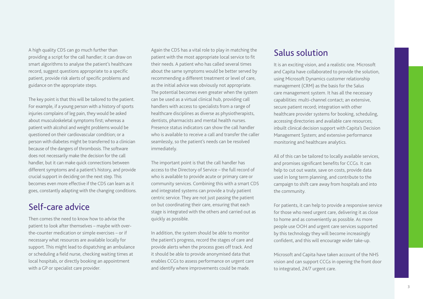A high quality CDS can go much further than providing a script for the call handler; it can draw on smart algorithms to analyse the patient's healthcare record, suggest questions appropriate to a specific patient, provide risk alerts of specific problems and guidance on the appropriate steps.

The key point is that this will be tailored to the patient. For example, if a young person with a history of sports injuries complains of leg pain, they would be asked about musculoskeletal symptoms first; whereas a patient with alcohol and weight problems would be questioned on their cardiovascular condition; or a person with diabetes might be transferred to a clinician because of the dangers of thrombosis. The software does not necessarily make the decision for the call handler, but it can make quick connections between different symptoms and a patient's history, and provide crucial support in deciding on the next step. This becomes even more effective if the CDS can learn as it goes, constantly adapting with the changing conditions.

### Self-care advice

Then comes the need to know how to advise the patient to look after themselves – maybe with overthe-counter medication or simple exercises – or if necessary what resources are available locally for support. This might lead to dispatching an ambulance or scheduling a field nurse, checking waiting times at local hospitals, or directly booking an appointment with a GP or specialist care provider.

Again the CDS has a vital role to play in matching the patient with the most appropriate local service to fit their needs. A patient who has called several times about the same symptoms would be better served by recommending a different treatment or level of care, as the initial advice was obviously not appropriate. The potential becomes even greater when the system can be used as a virtual clinical hub, providing call handlers with access to specialists from a range of healthcare disciplines as diverse as physiotherapists, dentists, pharmacists and mental health nurses. Presence status indicators can show the call handler who is available to receive a call and transfer the caller seamlessly, so the patient's needs can be resolved immediately.

The important point is that the call handler has access to the Directory of Service – the full record of who is available to provide acute or primary care or community services. Combining this with a smart CDS and integrated systems can provide a truly patient centric service. They are not just passing the patient on but coordinating their care, ensuring that each stage is integrated with the others and carried out as quickly as possible.

In addition, the system should be able to monitor the patient's progress, record the stages of care and provide alerts when the process goes off track. And it should be able to provide anonymised data that enables CCGs to assess performance on urgent care and identify where improvements could be made.

### Salus solution

It is an exciting vision, and a realistic one. Microsoft and Capita have collaborated to provide the solution, using Microsoft Dynamics customer relationship management (CRM) as the basis for the Salus care management system. It has all the necessary capabilities: multi-channel contact; an extensive, secure patient record; integration with other healthcare provider systems for booking, scheduling, accessing directories and available care resources; inbuilt clinical decision support with Capita's Decision Management System; and extensive performance monitoring and healthcare analytics.

All of this can be tailored to locally available services, and promises significant benefits for CCGs. It can help to cut out waste, save on costs, provide data used in long term planning, and contribute to the campaign to shift care away from hospitals and into the community.

For patients, it can help to provide a responsive service for those who need urgent care, delivering it as close to home and as conveniently as possible. As more people use OOH and urgent care services supported by this technology they will become increasingly confident, and this will encourage wider take-up.

Microsoft and Capita have taken account of the NHS vision and can support CCGs in opening the front door to integrated, 24/7 urgent care.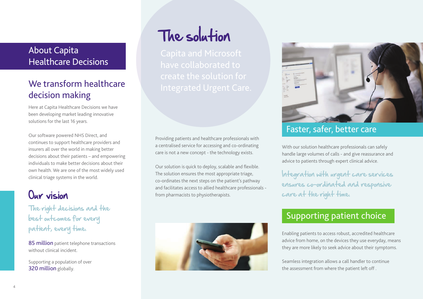### About Capita Healthcare Decisions

## We transform healthcare decision making

Here at Capita Healthcare Decisions we have been developing market leading innovative solutions for the last 16 years.

Our software powered NHS Direct, and continues to support healthcare providers and insurers all over the world in making better decisions about their patients – and empowering individuals to make better decisions about their own health. We are one of the most widely used clinical triage systems in the world.

## Our vision

The right decisions and the best outcomes for every patient, every time.

85 million patient telephone transactions without clinical incident

Supporting a population of over 320 million globally.

# 'The solution

Providing patients and healthcare professionals with a centralised service for accessing and co-ordinating care is not a new concept - the technology exists.

Our solution is quick to deploy, scalable and flexible. The solution ensures the most appropriate triage, co-ordinates the next steps on the patient's pathway and facilitates access to allied healthcare professionals from pharmacists to physiotherapists.





### Faster, safer, better care

With our solution healthcare professionals can safely handle large volumes of calls - and give reassurance and advice to patients through expert clinical advice.

Integration with urgent care services ensures co-ordinated and responsive care at the right time.

## Supporting patient choice

Enabling patients to access robust, accredited healthcare advice from home, on the devices they use everyday, means they are more likely to seek advice about their symptoms.

Seamless integration allows a call handler to continue the assessment from where the patient left off .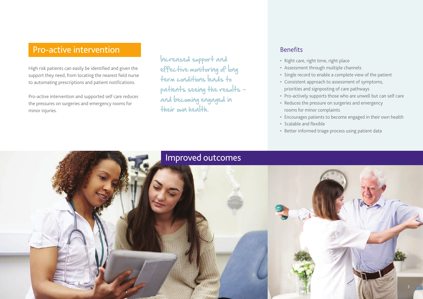### Pro-active intervention

High risk patients can easily be identified and given the support they need, from locating the nearest field nurse to automating prescriptions and patient notifications.

Pro-active intervention and supported self care reduces the pressures on surgeries and emergency rooms for minor injuries.

Increased support and effective monitoring of long term conditions leads to patients seeing the results and becoming engaged in their own health.

#### Benefits

- Right care, right time, right place
- Assessment through multiple channels
- Single record to enable a complete view of the patient
- Consistent approach to assessment of symptoms, priorities and signposting of care pathways
- Pro-actively supports those who are unwell but can self care
- Reduces the pressure on surgeries and emergency rooms for minor complaints
- Encourages patients to become engaged in their own health
- Scalable and flexible
- Better informed triage process using patient data

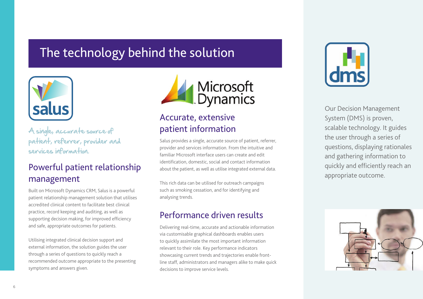## The technology behind the solution



A single, accurate source of patient, referrer, provider and services information.

### Powerful patient relationship management

Built on Microsoft Dynamics CRM, Salus is a powerful patient relationship management solution that utilises accredited clinical content to facilitate best clinical practice, record keeping and auditing, as well as supporting decision making, for improved efficiency and safe, appropriate outcomes for patients.

Utilising integrated clinical decision support and external information, the solution guides the user through a series of questions to quickly reach a recommended outcome appropriate to the presenting symptoms and answers given.



### Accurate, extensive patient information

Salus provides a single, accurate source of patient, referrer, provider and services information. From the intuitive and familiar Microsoft interface users can create and edit identification, domestic, social and contact information about the patient, as well as utilise integrated external data.

This rich data can be utilised for outreach campaigns such as smoking cessation, and for identifying and analysing trends.

## Performance driven results

Delivering real-time, accurate and actionable information via customisable graphical dashboards enables users to quickly assimilate the most important information relevant to their role. Key performance indicators showcasing current trends and trajectories enable frontline staff, administrators and managers alike to make quick decisions to improve service levels.



Our Decision Management System (DMS) is proven, scalable technology. It guides the user through a series of questions, displaying rationales and gathering information to quickly and efficiently reach an appropriate outcome.

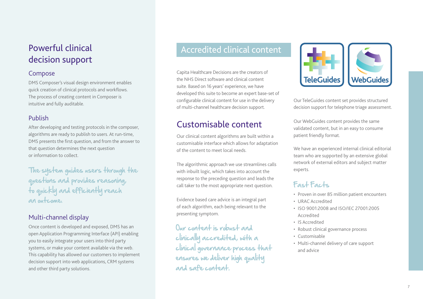## Powerful clinical decision support

#### Compose

DMS Composer's visual design environment enables quick creation of clinical protocols and workflows. The process of creating content in Composer is intuitive and fully auditable.

#### Publish

After developing and testing protocols in the composer, algorithms are ready to publish to users. At run-time, DMS presents the first question, and from the answer to that question determines the next question or information to collect.

The system guides users through the questions and provides reasoning, to quickly and efficiently reach an outcome.

#### Multi-channel display

Once content is developed and exposed, DMS has an open Application Programming Interface (API) enabling you to easily integrate your users into third party systems, or make your content available via the web. This capability has allowed our customers to implement decision support into web applications, CRM systems and other third party solutions.

### Accredited clinical content

Capita Healthcare Decisions are the creators of the NHS Direct software and clinical content suite. Based on 16 years' experience, we have developed this suite to become an expert base-set of configurable clinical content for use in the delivery of multi-channel healthcare decision support.

## Customisable content

Our clinical content algorithms are built within a customisable interface which allows for adaptation of the content to meet local needs.

The algorithmic approach we use streamlines calls with inbuilt logic, which takes into account the response to the preceding question and leads the call taker to the most appropriate next question.

Evidence based care advice is an integral part of each algorithm, each being relevant to the presenting symptom.

Our content is robust and clinically accredited, with a clinical governance process that ensures we deliver high quality and safe content.



Our TeleGuides content set provides structured decision support for telephone triage assessment.

Our WebGuides content provides the same validated content, but in an easy to consume patient friendly format.

We have an experienced internal clinical editorial team who are supported by an extensive global network of external editors and subject matter experts.

### Fast Facts

- Proven in over 85 million patient encounters
- URAC Accredited
- ISO 9001:2008 and ISO/IEC 27001:2005 Accredited
- IS Accredited
- Robust clinical governance process
- Customisable
- Multi-channel delivery of care support and advice